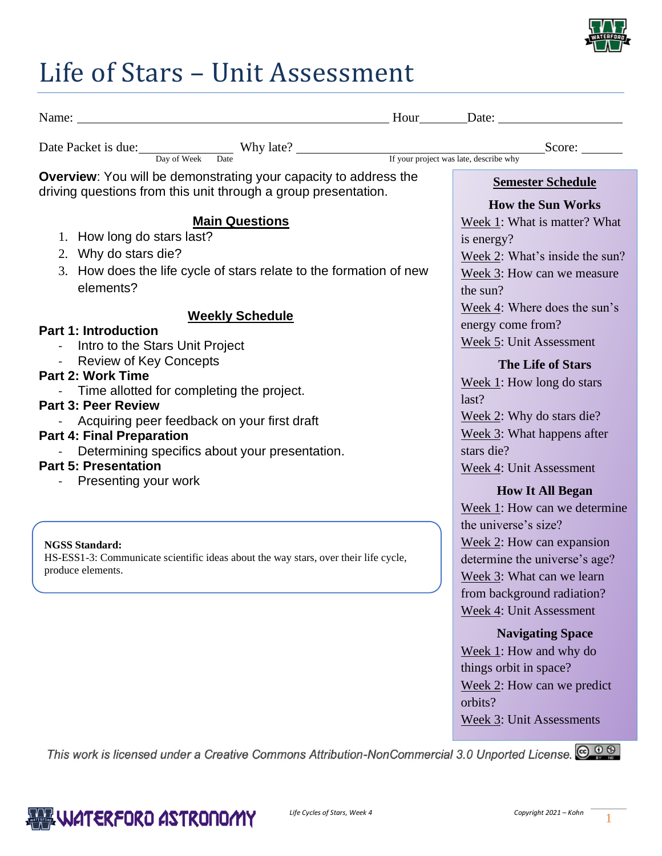

## Life of Stars – Unit Assessment

| Name: <u>Name:</u> Date: <u>Name:</u> ED at example and a series are series and a series and a series are series and a series and a series are series and a series are series and a series are series and a series are series and a seri |                                                                                                                                                                                |
|------------------------------------------------------------------------------------------------------------------------------------------------------------------------------------------------------------------------------------------|--------------------------------------------------------------------------------------------------------------------------------------------------------------------------------|
|                                                                                                                                                                                                                                          |                                                                                                                                                                                |
| <b>Overview:</b> You will be demonstrating your capacity to address the<br>driving questions from this unit through a group presentation.                                                                                                | <b>Semester Schedule</b>                                                                                                                                                       |
| <b>Main Questions</b><br>1. How long do stars last?<br>2. Why do stars die?                                                                                                                                                              | <b>How the Sun Works</b><br>Week 1: What is matter? What<br>is energy?<br>Week 2: What's inside the sun?                                                                       |
| 3. How does the life cycle of stars relate to the formation of new<br>elements?                                                                                                                                                          | Week 3: How can we measure<br>the sun?<br>Week 4: Where does the sun's                                                                                                         |
| <b>Weekly Schedule</b><br><b>Part 1: Introduction</b><br>- Intro to the Stars Unit Project<br>- Review of Key Concepts                                                                                                                   | energy come from?<br>Week 5: Unit Assessment                                                                                                                                   |
| <b>Part 2: Work Time</b><br>Time allotted for completing the project.<br><b>Part 3: Peer Review</b>                                                                                                                                      | <b>The Life of Stars</b><br>Week $1$ : How long do stars<br>last?<br>Week 2: Why do stars die?                                                                                 |
| Acquiring peer feedback on your first draft<br><b>Part 4: Final Preparation</b><br>Determining specifics about your presentation.<br><b>Part 5: Presentation</b>                                                                         | Week 3: What happens after<br>stars die?<br>Week 4: Unit Assessment                                                                                                            |
| Presenting your work                                                                                                                                                                                                                     | <b>How It All Began</b><br>Week 1: How can we determine                                                                                                                        |
| <b>NGSS Standard:</b><br>HS-ESS1-3: Communicate scientific ideas about the way stars, over their life cycle,<br>produce elements.                                                                                                        | the universe's size?<br>Week 2: How can expansion<br>determine the universe's age?<br>Week 3: What can we learn<br>from background radiation?                                  |
|                                                                                                                                                                                                                                          | Week 4: Unit Assessment<br><b>Navigating Space</b><br>Week 1: How and why do<br>things orbit in space?<br>Week $2$ : How can we predict<br>orbits?<br>Week 3: Unit Assessments |

This work is licensed under a Creative Commons Attribution-NonCommercial 3.0 Unported License. @ 0 9

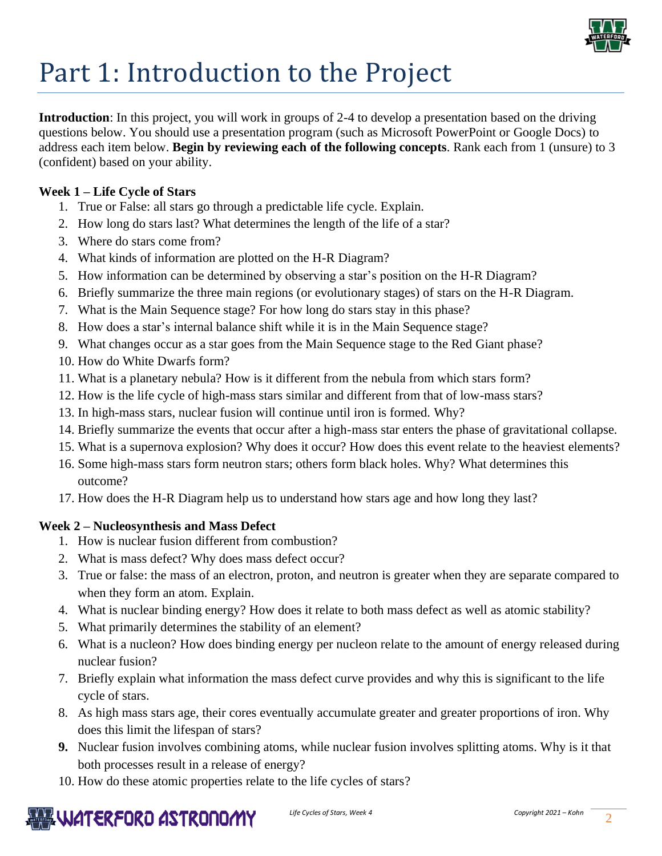

# Part 1: Introduction to the Project

**Introduction**: In this project, you will work in groups of 2-4 to develop a presentation based on the driving questions below. You should use a presentation program (such as Microsoft PowerPoint or Google Docs) to address each item below. **Begin by reviewing each of the following concepts**. Rank each from 1 (unsure) to 3 (confident) based on your ability.

#### **Week 1 – Life Cycle of Stars**

- 1. True or False: all stars go through a predictable life cycle. Explain.
- 2. How long do stars last? What determines the length of the life of a star?
- 3. Where do stars come from?
- 4. What kinds of information are plotted on the H-R Diagram?
- 5. How information can be determined by observing a star's position on the H-R Diagram?
- 6. Briefly summarize the three main regions (or evolutionary stages) of stars on the H-R Diagram.
- 7. What is the Main Sequence stage? For how long do stars stay in this phase?
- 8. How does a star's internal balance shift while it is in the Main Sequence stage?
- 9. What changes occur as a star goes from the Main Sequence stage to the Red Giant phase?
- 10. How do White Dwarfs form?
- 11. What is a planetary nebula? How is it different from the nebula from which stars form?
- 12. How is the life cycle of high-mass stars similar and different from that of low-mass stars?
- 13. In high-mass stars, nuclear fusion will continue until iron is formed. Why?
- 14. Briefly summarize the events that occur after a high-mass star enters the phase of gravitational collapse.
- 15. What is a supernova explosion? Why does it occur? How does this event relate to the heaviest elements?
- 16. Some high-mass stars form neutron stars; others form black holes. Why? What determines this outcome?
- 17. How does the H-R Diagram help us to understand how stars age and how long they last?

#### **Week 2 – Nucleosynthesis and Mass Defect**

- 1. How is nuclear fusion different from combustion?
- 2. What is mass defect? Why does mass defect occur?
- 3. True or false: the mass of an electron, proton, and neutron is greater when they are separate compared to when they form an atom. Explain.
- 4. What is nuclear binding energy? How does it relate to both mass defect as well as atomic stability?
- 5. What primarily determines the stability of an element?
- 6. What is a nucleon? How does binding energy per nucleon relate to the amount of energy released during nuclear fusion?
- 7. Briefly explain what information the mass defect curve provides and why this is significant to the life cycle of stars.
- 8. As high mass stars age, their cores eventually accumulate greater and greater proportions of iron. Why does this limit the lifespan of stars?
- **9.** Nuclear fusion involves combining atoms, while nuclear fusion involves splitting atoms. Why is it that both processes result in a release of energy?
- 10. How do these atomic properties relate to the life cycles of stars?

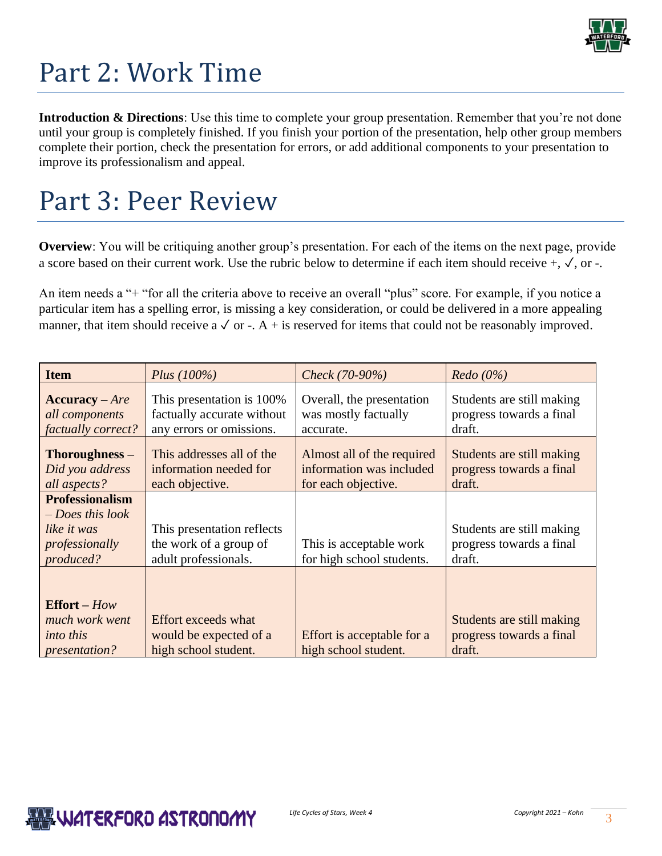

## Part 2: Work Time

**Introduction & Directions**: Use this time to complete your group presentation. Remember that you're not done until your group is completely finished. If you finish your portion of the presentation, help other group members complete their portion, check the presentation for errors, or add additional components to your presentation to improve its professionalism and appeal.

### Part 3: Peer Review

**Overview**: You will be critiquing another group's presentation. For each of the items on the next page, provide a score based on their current work. Use the rubric below to determine if each item should receive +, ✓, or -.

An item needs a "+ "for all the criteria above to receive an overall "plus" score. For example, if you notice a particular item has a spelling error, is missing a key consideration, or could be delivered in a more appealing manner, that item should receive a  $\sqrt{$  or -. A + is reserved for items that could not be reasonably improved.

| <b>Item</b>                                                                                | Plus $(100\%)$                                                                      | Check (70-90%)                                                                | Redo(0%)                                                        |
|--------------------------------------------------------------------------------------------|-------------------------------------------------------------------------------------|-------------------------------------------------------------------------------|-----------------------------------------------------------------|
| $Accuracy - Are$<br>all components<br>factually correct?                                   | This presentation is 100%<br>factually accurate without<br>any errors or omissions. | Overall, the presentation<br>was mostly factually<br>accurate.                | Students are still making<br>progress towards a final<br>draft. |
| Thoroughness -<br>Did you address<br>all aspects?                                          | This addresses all of the<br>information needed for<br>each objective.              | Almost all of the required<br>information was included<br>for each objective. | Students are still making<br>progress towards a final<br>draft. |
| <b>Professionalism</b><br>$-$ Does this look<br>like it was<br>professionally<br>produced? | This presentation reflects<br>the work of a group of<br>adult professionals.        | This is acceptable work<br>for high school students.                          | Students are still making<br>progress towards a final<br>draft. |
| <b>Effort</b> – $How$<br>much work went<br><i>into this</i><br><i>presentation?</i>        | Effort exceeds what<br>would be expected of a<br>high school student.               | Effort is acceptable for a<br>high school student.                            | Students are still making<br>progress towards a final<br>draft. |

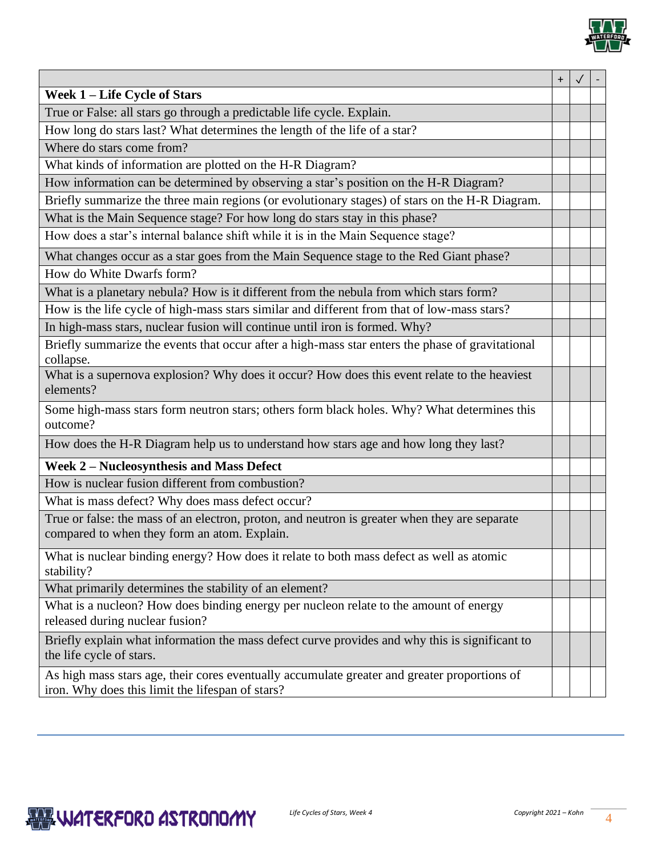

|                                                                                                                                                  | $\ddot{}$ |  |
|--------------------------------------------------------------------------------------------------------------------------------------------------|-----------|--|
| Week 1 – Life Cycle of Stars                                                                                                                     |           |  |
| True or False: all stars go through a predictable life cycle. Explain.                                                                           |           |  |
| How long do stars last? What determines the length of the life of a star?                                                                        |           |  |
| Where do stars come from?                                                                                                                        |           |  |
| What kinds of information are plotted on the H-R Diagram?                                                                                        |           |  |
| How information can be determined by observing a star's position on the H-R Diagram?                                                             |           |  |
| Briefly summarize the three main regions (or evolutionary stages) of stars on the H-R Diagram.                                                   |           |  |
| What is the Main Sequence stage? For how long do stars stay in this phase?                                                                       |           |  |
| How does a star's internal balance shift while it is in the Main Sequence stage?                                                                 |           |  |
| What changes occur as a star goes from the Main Sequence stage to the Red Giant phase?                                                           |           |  |
| How do White Dwarfs form?                                                                                                                        |           |  |
| What is a planetary nebula? How is it different from the nebula from which stars form?                                                           |           |  |
| How is the life cycle of high-mass stars similar and different from that of low-mass stars?                                                      |           |  |
| In high-mass stars, nuclear fusion will continue until iron is formed. Why?                                                                      |           |  |
| Briefly summarize the events that occur after a high-mass star enters the phase of gravitational<br>collapse.                                    |           |  |
| What is a supernova explosion? Why does it occur? How does this event relate to the heaviest<br>elements?                                        |           |  |
| Some high-mass stars form neutron stars; others form black holes. Why? What determines this<br>outcome?                                          |           |  |
| How does the H-R Diagram help us to understand how stars age and how long they last?                                                             |           |  |
| Week 2 - Nucleosynthesis and Mass Defect                                                                                                         |           |  |
| How is nuclear fusion different from combustion?                                                                                                 |           |  |
| What is mass defect? Why does mass defect occur?                                                                                                 |           |  |
| True or false: the mass of an electron, proton, and neutron is greater when they are separate<br>compared to when they form an atom. Explain.    |           |  |
| What is nuclear binding energy? How does it relate to both mass defect as well as atomic<br>stability?                                           |           |  |
| What primarily determines the stability of an element?                                                                                           |           |  |
| What is a nucleon? How does binding energy per nucleon relate to the amount of energy<br>released during nuclear fusion?                         |           |  |
| Briefly explain what information the mass defect curve provides and why this is significant to<br>the life cycle of stars.                       |           |  |
| As high mass stars age, their cores eventually accumulate greater and greater proportions of<br>iron. Why does this limit the lifespan of stars? |           |  |